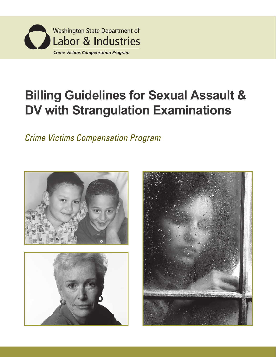

## **Billing Guidelines for Sexual Assault Billing Guidelines for Sexual Assault & Examination DV with Strangulation Examinations**

*Crime Victims Compensation Program Crime Victims Compensation Program*





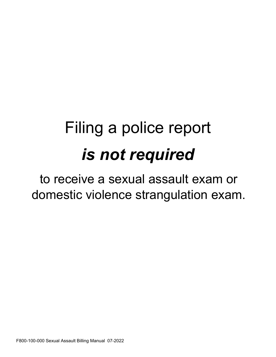# Filing a police report *is not required*

to receive a sexual assault exam or domestic violence strangulation exam.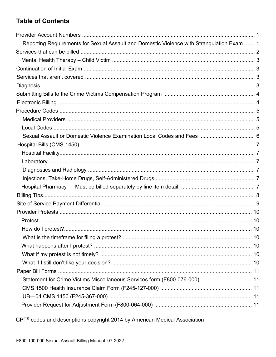### **Table of Contents**

| Reporting Requirements for Sexual Assault and Domestic Violence with Strangulation Exam  1 |  |
|--------------------------------------------------------------------------------------------|--|
|                                                                                            |  |
|                                                                                            |  |
|                                                                                            |  |
|                                                                                            |  |
|                                                                                            |  |
|                                                                                            |  |
|                                                                                            |  |
|                                                                                            |  |
|                                                                                            |  |
|                                                                                            |  |
|                                                                                            |  |
|                                                                                            |  |
|                                                                                            |  |
|                                                                                            |  |
|                                                                                            |  |
|                                                                                            |  |
|                                                                                            |  |
|                                                                                            |  |
|                                                                                            |  |
|                                                                                            |  |
|                                                                                            |  |
|                                                                                            |  |
|                                                                                            |  |
|                                                                                            |  |
|                                                                                            |  |
|                                                                                            |  |
|                                                                                            |  |
| Statement for Crime Victims Miscellaneous Services form (F800-076-000)  11                 |  |
|                                                                                            |  |
|                                                                                            |  |
|                                                                                            |  |

CPT<sup>®</sup> codes and descriptions copyright 2014 by American Medical Association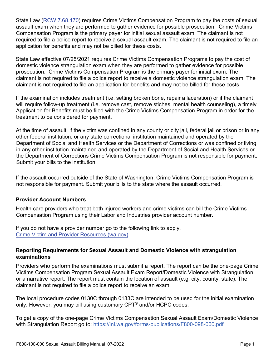State Law [\(RCW 7.68.170\)](http://app.leg.wa.gov/rcw/default.aspx?cite=7.68.170) requires Crime Victims Compensation Program to pay the costs of sexual assault exam when they are performed to gather evidence for possible prosecution. Crime Victims Compensation Program is the primary payer for initial sexual assault exam. The claimant is not required to file a police report to receive a sexual assault exam. The claimant is not required to file an application for benefits and may not be billed for these costs.

State Law effective 07/25/2021 requires Crime Victims Compensation Programs to pay the cost of domestic violence strangulation exam when they are performed to gather evidence for possible prosecution. Crime Victims Compensation Program is the primary payer for initial exam. The claimant is not required to file a police report to receive a domestic violence strangulation exam. The claimant is not required to file an application for benefits and may not be billed for these costs.

If the examination includes treatment (i.e. setting broken bone, repair a laceration) or if the claimant will require follow-up treatment (i.e. remove cast, remove stiches, mental health counseling), a timely Application for Benefits must be filed with the Crime Victims Compensation Program in order for the treatment to be considered for payment.

At the time of assault, if the victim was confined in any county or city jail, federal jail or prison or in any other federal institution, or any state correctional institution maintained and operated by the Department of Social and Health Services or the Department of Corrections or was confined or living in any other institution maintained and operated by the Department of Social and Health Services or the Department of Corrections Crime Victims Compensation Program is not responsible for payment. Submit your bills to the institution.

If the assault occurred outside of the State of Washington, Crime Victims Compensation Program is not responsible for payment. Submit your bills to the state where the assault occurred.

#### **Provider Account Numbers**

Health care providers who treat both injured workers and crime victims can bill the Crime Victims Compensation Program using their Labor and Industries provider account number.

If you do not have a provider number go to the following link to apply. [Crime Victim and Provider Resources \(wa.gov\)](https://lni.wa.gov/claims/crime-victim-claims/crime-victim-and-provider-resources)

#### **Reporting Requirements for Sexual Assault and Domestic Violence with strangulation examinations**

Providers who perform the examinations must submit a report. The report can be the one-page Crime Victims Compensation Program Sexual Assault Exam Report/Domestic Violence with Strangulation or a narrative report. The report must contain the location of assault (e.g. city, county, state). The claimant is not required to file a police report to receive an exam.

The local procedure codes 0130C through 0133C are intended to be used for the initial examination only. However, you may bill using customary CPT® and/or HCPC codes.

To get a copy of the one-page Crime Victims Compensation Sexual Assault Exam/Domestic Violence with Strangulation Report go to:<https://lni.wa.gov/forms-publications/F800-098-000.pdf>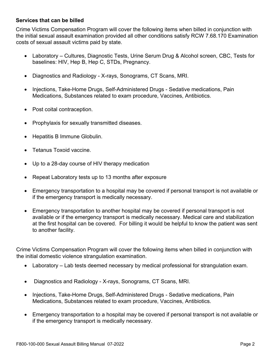#### **Services that can be billed**

Crime Victims Compensation Program will cover the following items when billed in conjunction with the initial sexual assault examination provided all other conditions satisfy RCW 7.68.170 Examination costs of sexual assault victims paid by state.

- Laboratory Cultures, Diagnostic Tests, Urine Serum Drug & Alcohol screen, CBC, Tests for baselines: HIV, Hep B, Hep C, STDs, Pregnancy.
- Diagnostics and Radiology X-rays, Sonograms, CT Scans, MRI.
- Injections, Take-Home Drugs, Self-Administered Drugs Sedative medications, Pain Medications, Substances related to exam procedure, Vaccines, Antibiotics.
- Post coital contraception.
- Prophylaxis for sexually transmitted diseases.
- Hepatitis B Immune Globulin.
- Tetanus Toxoid vaccine.
- Up to a 28-day course of HIV therapy medication
- Repeat Laboratory tests up to 13 months after exposure
- Emergency transportation to a hospital may be covered if personal transport is not available or if the emergency transport is medically necessary.
- Emergency transportation to another hospital may be covered if personal transport is not available or if the emergency transport is medically necessary. Medical care and stabilization at the first hospital can be covered. For billing it would be helpful to know the patient was sent to another facility.

Crime Victims Compensation Program will cover the following items when billed in conjunction with the initial domestic violence strangulation examination.

- Laboratory Lab tests deemed necessary by medical professional for strangulation exam.
- Diagnostics and Radiology X-rays, Sonograms, CT Scans, MRI.
- Injections, Take-Home Drugs, Self-Administered Drugs Sedative medications, Pain Medications, Substances related to exam procedure, Vaccines, Antibiotics.
- Emergency transportation to a hospital may be covered if personal transport is not available or if the emergency transport is medically necessary.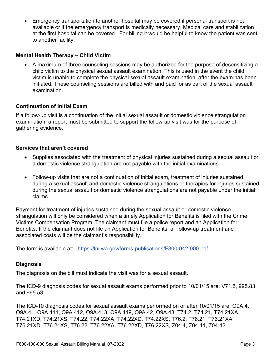• Emergency transportation to another hospital may be covered if personal transport is not available or if the emergency transport is medically necessary. Medical care and stabilization at the first hospital can be covered. For billing it would be helpful to know the patient was sent to another facility.

#### **Mental Health Therapy – Child Victim**

• A maximum of three counseling sessions may be authorized for the purpose of desensitizing a child victim to the physical sexual assault examination. This is used in the event the child victim is unable to complete the physical sexual assault examination, after the exam has been initiated. These counseling sessions are billed with and paid for as part of the sexual assault examination.

#### **Continuation of Initial Exam**

If a follow-up visit is a continuation of the initial sexual assault or domestic violence strangulation examination, a report must be submitted to support the follow-up visit was for the purpose of gathering evidence.

#### **Services that aren't covered**

- Supplies associated with the treatment of physical injuries sustained during a sexual assault or a domestic violence strangulation are not payable with the initial examinations.
- Follow-up visits that are not a continuation of initial exam, treatment of injuries sustained during a sexual assault and domestic violence strangulations or therapies for injuries sustained during the sexual assault or domestic violence strangulations are not payable under the initial claims.

Payment for treatment of injuries sustained during the sexual assault or domestic violence strangulation will only be considered when a timely Application for Benefits is filed with the Crime Victims Compensation Program. The claimant must file a police report and an Application for Benefits. If the claimant does not file an Application for Benefits, all follow-up treatment and associated costs will be the claimant's responsibility.

The form is available at: <https://lni.wa.gov/forms-publications/F800-042-000.pdf>

#### **Diagnosis**

The diagnosis on the bill must indicate the visit was for a sexual assault.

The ICD-9 diagnosis codes for sexual assault exams performed prior to 10/01/15 are: V71.5, 995.83 and 995.53.

The ICD-10 diagnosis codes for sexual assault exams performed on or after 10/01/15 are: O9A.4, O9A.41, O9A.411, O9A.412, O9A.413, O9A.419, O9A.42, O9A.43, T74.2, T74.21, T74.21XA, T74.21XD, T74.21XS, T74.22, T74.22XA, T74.22XD, T74.22XS, T76.2, T76.21, T76.21XA, T76.21XD, T76.21XS, T76.22, T76.22XA, T76.22XD, T76.22XS, Z04.4, Z04.41, Z04.42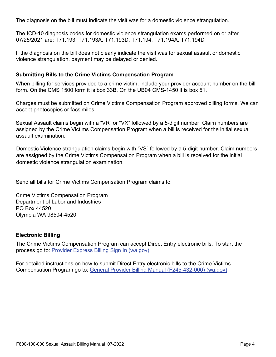The diagnosis on the bill must indicate the visit was for a domestic violence strangulation.

The ICD-10 diagnosis codes for domestic violence strangulation exams performed on or after 07/25/2021 are: T71.193, T71.193A, T71.193D, T71.194, T71.194A, T71.194D

If the diagnosis on the bill does not clearly indicate the visit was for sexual assault or domestic violence strangulation, payment may be delayed or denied.

#### **Submitting Bills to the Crime Victims Compensation Program**

When billing for services provided to a crime victim, include your provider account number on the bill form. On the CMS 1500 form it is box 33B. On the UB04 CMS-1450 it is box 51.

Charges must be submitted on Crime Victims Compensation Program approved billing forms. We can accept photocopies or facsimiles.

Sexual Assault claims begin with a "VR" or "VX" followed by a 5-digit number. Claim numbers are assigned by the Crime Victims Compensation Program when a bill is received for the initial sexual assault examination.

Domestic Violence strangulation claims begin with "VS" followed by a 5-digit number. Claim numbers are assigned by the Crime Victims Compensation Program when a bill is received for the initial domestic violence strangulation examination.

Send all bills for Crime Victims Compensation Program claims to:

Crime Victims Compensation Program Department of Labor and Industries PO Box 44520 Olympia WA 98504-4520

#### **Electronic Billing**

The Crime Victims Compensation Program can accept Direct Entry electronic bills. To start the process go to: [Provider Express Billing Sign In \(wa.gov\)](https://lni.wa.gov/patient-care/billing-payments/billing-li/provider-express-billing-signin) 

For detailed instructions on how to submit Direct Entry electronic bills to the Crime Victims Compensation Program go to: [General Provider Billing Manual \(F245-432-000\) \(wa.gov\)](https://lni.wa.gov/forms-publications/F245-432-000.pdf)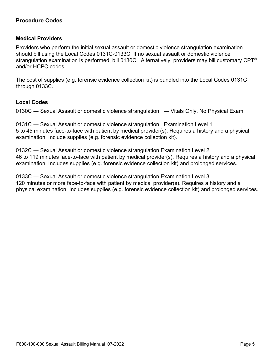#### **Procedure Codes**

#### **Medical Providers**

Providers who perform the initial sexual assault or domestic violence strangulation examination should bill using the Local Codes 0131C-0133C. If no sexual assault or domestic violence strangulation examination is performed, bill 0130C. Alternatively, providers may bill customary CPT<sup>®</sup> and/or HCPC codes.

The cost of supplies (e.g. forensic evidence collection kit) is bundled into the Local Codes 0131C through 0133C.

#### **Local Codes**

0130C — Sexual Assault or domestic violence strangulation — Vitals Only, No Physical Exam

0131C ― Sexual Assault or domestic violence strangulation Examination Level 1 5 to 45 minutes face-to-face with patient by medical provider(s). Requires a history and a physical examination. Include supplies (e.g. forensic evidence collection kit).

0132C ― Sexual Assault or domestic violence strangulation Examination Level 2 46 to 119 minutes face-to-face with patient by medical provider(s). Requires a history and a physical examination. Includes supplies (e.g. forensic evidence collection kit) and prolonged services.

0133C ― Sexual Assault or domestic violence strangulation Examination Level 3 120 minutes or more face-to-face with patient by medical provider(s). Requires a history and a physical examination. Includes supplies (e.g. forensic evidence collection kit) and prolonged services.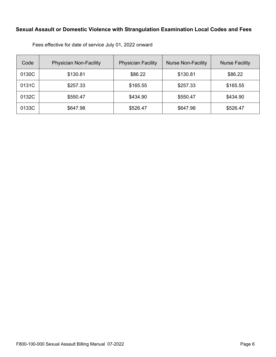#### **Sexual Assault or Domestic Violence with Strangulation Examination Local Codes and Fees**

| Code  | <b>Physician Non-Facility</b> | <b>Physician Facility</b> | <b>Nurse Non-Facility</b> | <b>Nurse Facility</b> |
|-------|-------------------------------|---------------------------|---------------------------|-----------------------|
| 0130C | \$130.81                      | \$86.22                   | \$130.81                  | \$86.22               |
| 0131C | \$257.33                      | \$165.55                  | \$257.33                  | \$165.55              |
| 0132C | \$550.47                      | \$434.90                  | \$550.47                  | \$434.90              |
| 0133C | \$647.98                      | \$526.47                  | \$647.98                  | \$526.47              |

Fees effective for date of service July 01, 2022 onward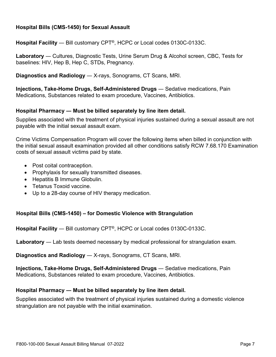#### **Hospital Bills (CMS-1450) for Sexual Assault**

**Hospital Facility** ― Bill customary CPT®, HCPC or Local codes 0130C-0133C.

**Laboratory** ― Cultures, Diagnostic Tests, Urine Serum Drug & Alcohol screen, CBC, Tests for baselines: HIV, Hep B, Hep C, STDs, Pregnancy.

**Diagnostics and Radiology** ― X-rays, Sonograms, CT Scans, MRI.

**Injections, Take-Home Drugs, Self-Administered Drugs** ― Sedative medications, Pain Medications, Substances related to exam procedure, Vaccines, Antibiotics.

#### **Hospital Pharmacy ― Must be billed separately by line item detail.**

Supplies associated with the treatment of physical injuries sustained during a sexual assault are not payable with the initial sexual assault exam.

Crime Victims Compensation Program will cover the following items when billed in conjunction with the initial sexual assault examination provided all other conditions satisfy RCW 7.68.170 Examination costs of sexual assault victims paid by state.

- Post coital contraception.
- Prophylaxis for sexually transmitted diseases.
- Hepatitis B Immune Globulin.
- Tetanus Toxoid vaccine.
- Up to a 28-day course of HIV therapy medication.

#### **Hospital Bills (CMS-1450) – for Domestic Violence with Strangulation**

**Hospital Facility** ― Bill customary CPT®, HCPC or Local codes 0130C-0133C.

**Laboratory** ― Lab tests deemed necessary by medical professional for strangulation exam.

**Diagnostics and Radiology** ― X-rays, Sonograms, CT Scans, MRI.

**Injections, Take-Home Drugs, Self-Administered Drugs** ― Sedative medications, Pain Medications, Substances related to exam procedure, Vaccines, Antibiotics.

#### **Hospital Pharmacy ― Must be billed separately by line item detail.**

Supplies associated with the treatment of physical injuries sustained during a domestic violence strangulation are not payable with the initial examination.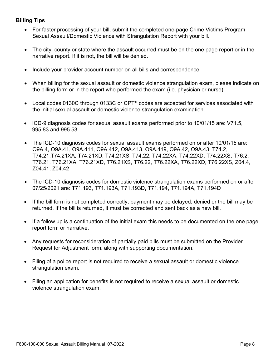#### **Billing Tips**

- For faster processing of your bill, submit the completed one-page Crime Victims Program Sexual Assault/Domestic Violence with Strangulation Report with your bill.
- The city, county or state where the assault occurred must be on the one page report or in the narrative report. If it is not, the bill will be denied.
- Include your provider account number on all bills and correspondence.
- When billing for the sexual assault or domestic violence strangulation exam, please indicate on the billing form or in the report who performed the exam (i.e. physician or nurse).
- Local codes 0130C through 0133C or  $CPT^{\circledcirc}$  codes are accepted for services associated with the initial sexual assault or domestic violence strangulation examination.
- ICD-9 diagnosis codes for sexual assault exams performed prior to 10/01/15 are: V71.5, 995.83 and 995.53.
- The ICD-10 diagnosis codes for sexual assault exams performed on or after 10/01/15 are: O9A.4, O9A.41, O9A.411, O9A.412, O9A.413, O9A.419, O9A.42, O9A.43, T74.2, T74.21,T74.21XA, T74.21XD, T74.21XS, T74.22, T74.22XA, T74.22XD, T74.22XS, T76.2, T76.21, T76.21XA, T76.21XD, T76.21XS, T76.22, T76.22XA, T76.22XD, T76.22XS, Z04.4, Z04.41, Z04.42
- The ICD-10 diagnosis codes for domestic violence strangulation exams performed on or after 07/25/2021 are: T71.193, T71.193A, T71.193D, T71.194, T71.194A, T71.194D
- If the bill form is not completed correctly, payment may be delayed, denied or the bill may be returned. If the bill is returned, it must be corrected and sent back as a new bill.
- If a follow up is a continuation of the initial exam this needs to be documented on the one page report form or narrative.
- Any requests for reconsideration of partially paid bills must be submitted on the Provider Request for Adjustment form, along with supporting documentation.
- Filing of a police report is not required to receive a sexual assault or domestic violence strangulation exam.
- Filing an application for benefits is not required to receive a sexual assault or domestic violence strangulation exam.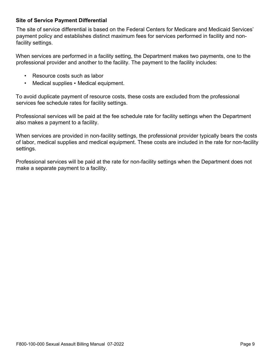#### **Site of Service Payment Differential**

The site of service differential is based on the Federal Centers for Medicare and Medicaid Services' payment policy and establishes distinct maximum fees for services performed in facility and nonfacility settings.

When services are performed in a facility setting, the Department makes two payments, one to the professional provider and another to the facility. The payment to the facility includes:

- Resource costs such as labor
- Medical supplies Medical equipment.

To avoid duplicate payment of resource costs, these costs are excluded from the professional services fee schedule rates for facility settings.

Professional services will be paid at the fee schedule rate for facility settings when the Department also makes a payment to a facility.

When services are provided in non-facility settings, the professional provider typically bears the costs of labor, medical supplies and medical equipment. These costs are included in the rate for non-facility settings.

Professional services will be paid at the rate for non-facility settings when the Department does not make a separate payment to a facility.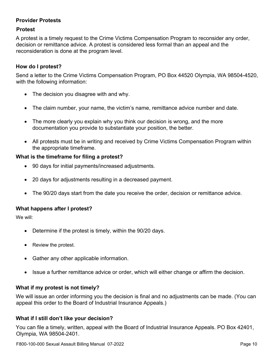#### **Provider Protests**

#### **Protest**

A protest is a timely request to the Crime Victims Compensation Program to reconsider any order, decision or remittance advice. A protest is considered less formal than an appeal and the reconsideration is done at the program level.

#### **How do I protest?**

Send a letter to the Crime Victims Compensation Program, PO Box 44520 Olympia, WA 98504-4520, with the following information:

- The decision you disagree with and why.
- The claim number, your name, the victim's name, remittance advice number and date.
- The more clearly you explain why you think our decision is wrong, and the more documentation you provide to substantiate your position, the better.
- All protests must be in writing and received by Crime Victims Compensation Program within the appropriate timeframe.

#### **What is the timeframe for filing a protest?**

- 90 days for initial payments/increased adjustments.
- 20 days for adjustments resulting in a decreased payment.
- The 90/20 days start from the date you receive the order, decision or remittance advice.

#### **What happens after I protest?**

We will:

- Determine if the protest is timely, within the 90/20 days.
- Review the protest.
- Gather any other applicable information.
- Issue a further remittance advice or order, which will either change or affirm the decision.

#### **What if my protest is not timely?**

We will issue an order informing you the decision is final and no adjustments can be made. (You can appeal this order to the Board of Industrial Insurance Appeals.)

#### **What if I still don't like your decision?**

You can file a timely, written, appeal with the Board of Industrial Insurance Appeals. PO Box 42401, Olympia, WA 98504-2401.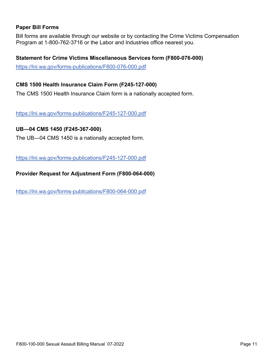#### **Paper Bill Forms**

Bill forms are available through our website or by contacting the Crime Victims Compensation Program at 1-800-762-3716 or the Labor and Industries office nearest you.

#### **Statement for Crime Victims Miscellaneous Services form (F800-076-000)**

<https://lni.wa.gov/forms-publications/F800-076-000.pdf>

#### **CMS 1500 Health Insurance Claim Form (F245-127-000)**

The CMS 1500 Health Insurance Claim form is a nationally accepted form.

<https://lni.wa.gov/forms-publications/F245-127-000.pdf>

#### **UB―04 CMS 1450 (F245-367-000)**

The UB―04 CMS 1450 is a nationally accepted form.

<https://lni.wa.gov/forms-publications/F245-127-000.pdf>

**Provider Request for Adjustment Form (F800-064-000)** 

<https://lni.wa.gov/forms-publications/F800-064-000.pdf>